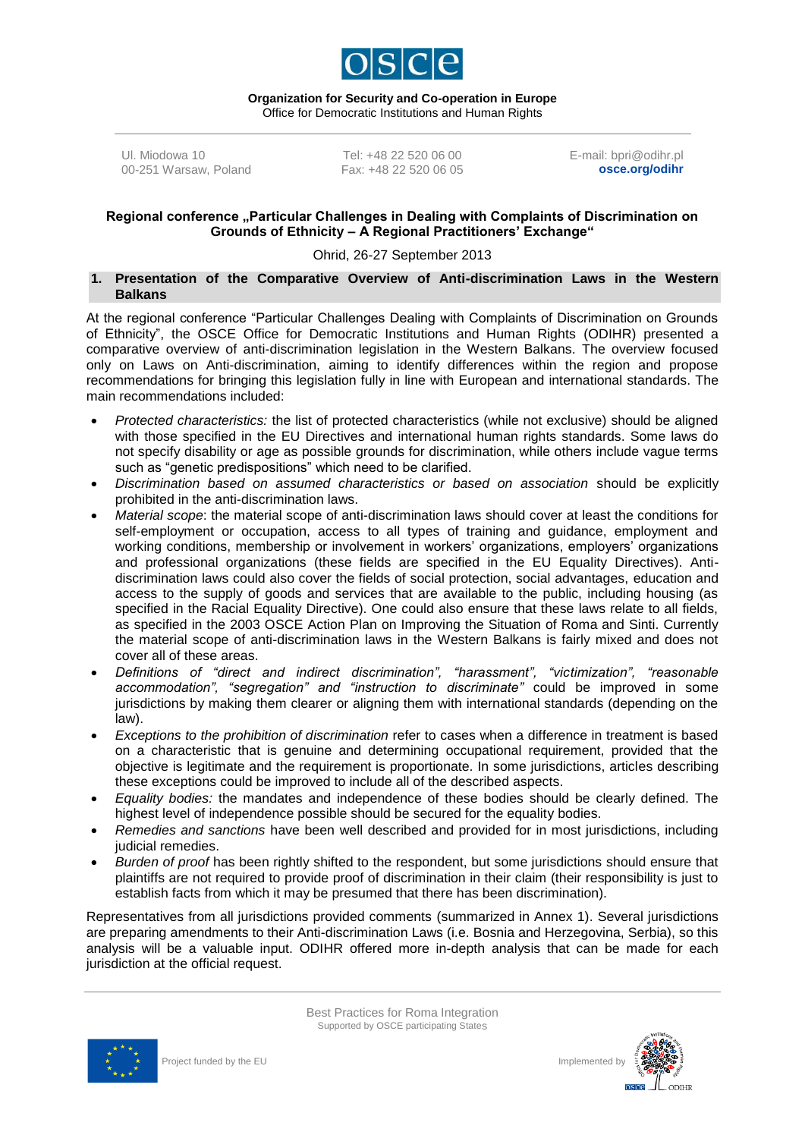

**Organization for Security and Co-operation in Europe** Office for Democratic Institutions and Human Rights

Ul. Miodowa 10 00-251 Warsaw, Poland

Tel: +48 22 520 06 00 Fax: +48 22 520 06 05 E-mail: bpri@odihr.pl **osce.org/odihr**

### Regional conference "Particular Challenges in Dealing with Complaints of Discrimination on **Grounds of Ethnicity – A Regional Practitioners' Exchange"**

## Ohrid, 26-27 September 2013

### **1. Presentation of the Comparative Overview of Anti-discrimination Laws in the Western Balkans**

At the regional conference "Particular Challenges Dealing with Complaints of Discrimination on Grounds of Ethnicity", the OSCE Office for Democratic Institutions and Human Rights (ODIHR) presented a comparative overview of anti-discrimination legislation in the Western Balkans. The overview focused only on Laws on Anti-discrimination, aiming to identify differences within the region and propose recommendations for bringing this legislation fully in line with European and international standards. The main recommendations included:

- *Protected characteristics:* the list of protected characteristics (while not exclusive) should be aligned with those specified in the EU Directives and international human rights standards. Some laws do not specify disability or age as possible grounds for discrimination, while others include vague terms such as "genetic predispositions" which need to be clarified.
- *Discrimination based on assumed characteristics or based on association* should be explicitly prohibited in the anti-discrimination laws.
- *Material scope*: the material scope of anti-discrimination laws should cover at least the conditions for self-employment or occupation, access to all types of training and guidance, employment and working conditions, membership or involvement in workers' organizations, employers' organizations and professional organizations (these fields are specified in the EU Equality Directives). Antidiscrimination laws could also cover the fields of social protection, social advantages, education and access to the supply of goods and services that are available to the public, including housing (as specified in the Racial Equality Directive). One could also ensure that these laws relate to all fields, as specified in the 2003 OSCE Action Plan on Improving the Situation of Roma and Sinti. Currently the material scope of anti-discrimination laws in the Western Balkans is fairly mixed and does not cover all of these areas.
- *Definitions of "direct and indirect discrimination", "harassment", "victimization", "reasonable accommodation", "segregation" and "instruction to discriminate"* could be improved in some jurisdictions by making them clearer or aligning them with international standards (depending on the law).
- *Exceptions to the prohibition of discrimination* refer to cases when a difference in treatment is based on a characteristic that is genuine and determining occupational requirement, provided that the objective is legitimate and the requirement is proportionate. In some jurisdictions, articles describing these exceptions could be improved to include all of the described aspects.
- *Equality bodies:* the mandates and independence of these bodies should be clearly defined. The highest level of independence possible should be secured for the equality bodies.
- *Remedies and sanctions* have been well described and provided for in most jurisdictions, including judicial remedies.
- *Burden of proof* has been rightly shifted to the respondent, but some jurisdictions should ensure that plaintiffs are not required to provide proof of discrimination in their claim (their responsibility is just to establish facts from which it may be presumed that there has been discrimination).

Representatives from all jurisdictions provided comments (summarized in Annex 1). Several jurisdictions are preparing amendments to their Anti-discrimination Laws (i.e. Bosnia and Herzegovina, Serbia), so this analysis will be a valuable input. ODIHR offered more in-depth analysis that can be made for each jurisdiction at the official request.





 $ODIHR$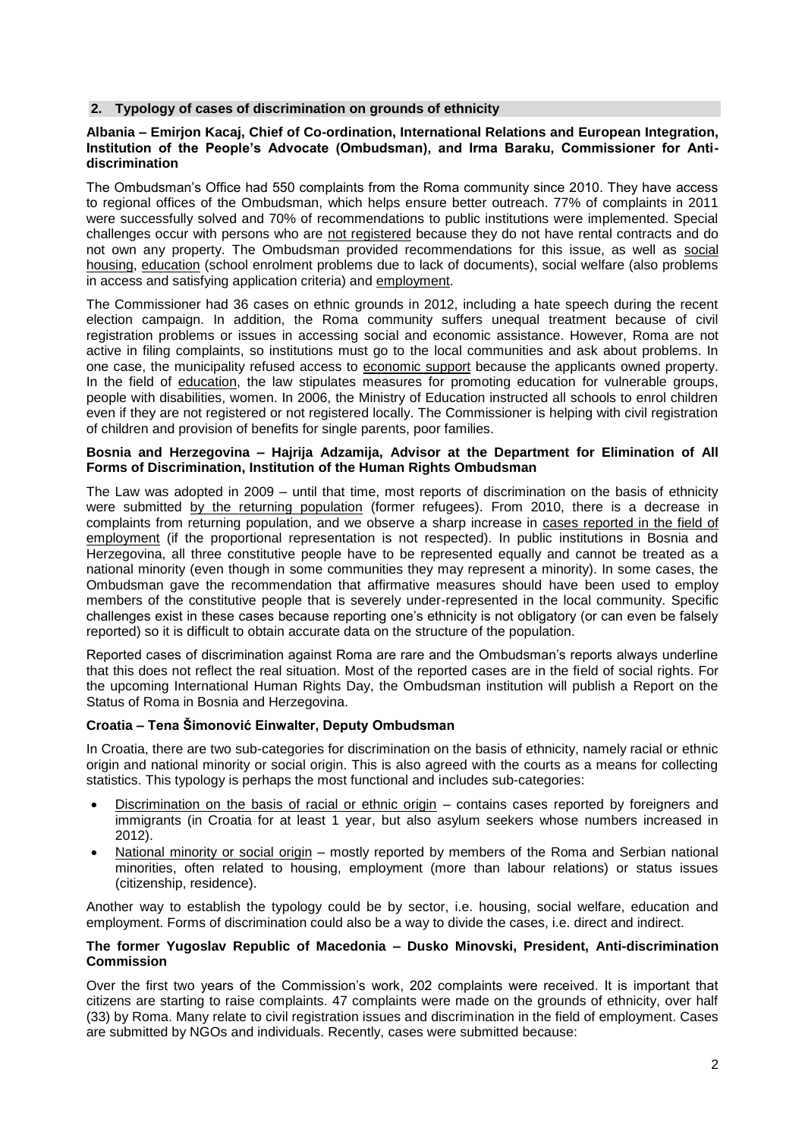### **2. Typology of cases of discrimination on grounds of ethnicity**

## **Albania – Emirjon Kacaj, Chief of Co-ordination, International Relations and European Integration, Institution of the People's Advocate (Ombudsman), and Irma Baraku, Commissioner for Antidiscrimination**

The Ombudsman's Office had 550 complaints from the Roma community since 2010. They have access to regional offices of the Ombudsman, which helps ensure better outreach. 77% of complaints in 2011 were successfully solved and 70% of recommendations to public institutions were implemented. Special challenges occur with persons who are not registered because they do not have rental contracts and do not own any property. The Ombudsman provided recommendations for this issue, as well as social housing, education (school enrolment problems due to lack of documents), social welfare (also problems in access and satisfying application criteria) and employment.

The Commissioner had 36 cases on ethnic grounds in 2012, including a hate speech during the recent election campaign. In addition, the Roma community suffers unequal treatment because of civil registration problems or issues in accessing social and economic assistance. However, Roma are not active in filing complaints, so institutions must go to the local communities and ask about problems. In one case, the municipality refused access to economic support because the applicants owned property. In the field of education, the law stipulates measures for promoting education for vulnerable groups, people with disabilities, women. In 2006, the Ministry of Education instructed all schools to enrol children even if they are not registered or not registered locally. The Commissioner is helping with civil registration of children and provision of benefits for single parents, poor families.

#### **Bosnia and Herzegovina – Hajrija Adzamija, Advisor at the Department for Elimination of All Forms of Discrimination, Institution of the Human Rights Ombudsman**

The Law was adopted in 2009 – until that time, most reports of discrimination on the basis of ethnicity were submitted by the returning population (former refugees). From 2010, there is a decrease in complaints from returning population, and we observe a sharp increase in cases reported in the field of employment (if the proportional representation is not respected). In public institutions in Bosnia and Herzegovina, all three constitutive people have to be represented equally and cannot be treated as a national minority (even though in some communities they may represent a minority). In some cases, the Ombudsman gave the recommendation that affirmative measures should have been used to employ members of the constitutive people that is severely under-represented in the local community. Specific challenges exist in these cases because reporting one's ethnicity is not obligatory (or can even be falsely reported) so it is difficult to obtain accurate data on the structure of the population.

Reported cases of discrimination against Roma are rare and the Ombudsman's reports always underline that this does not reflect the real situation. Most of the reported cases are in the field of social rights. For the upcoming International Human Rights Day, the Ombudsman institution will publish a Report on the Status of Roma in Bosnia and Herzegovina.

# **Croatia – Tena Šimonović Einwalter, Deputy Ombudsman**

In Croatia, there are two sub-categories for discrimination on the basis of ethnicity, namely racial or ethnic origin and national minority or social origin. This is also agreed with the courts as a means for collecting statistics. This typology is perhaps the most functional and includes sub-categories:

- Discrimination on the basis of racial or ethnic origin contains cases reported by foreigners and immigrants (in Croatia for at least 1 year, but also asylum seekers whose numbers increased in 2012).
- National minority or social origin mostly reported by members of the Roma and Serbian national minorities, often related to housing, employment (more than labour relations) or status issues (citizenship, residence).

Another way to establish the typology could be by sector, i.e. housing, social welfare, education and employment. Forms of discrimination could also be a way to divide the cases, i.e. direct and indirect.

## **The former Yugoslav Republic of Macedonia – Dusko Minovski, President, Anti-discrimination Commission**

Over the first two years of the Commission's work, 202 complaints were received. It is important that citizens are starting to raise complaints. 47 complaints were made on the grounds of ethnicity, over half (33) by Roma. Many relate to civil registration issues and discrimination in the field of employment. Cases are submitted by NGOs and individuals. Recently, cases were submitted because: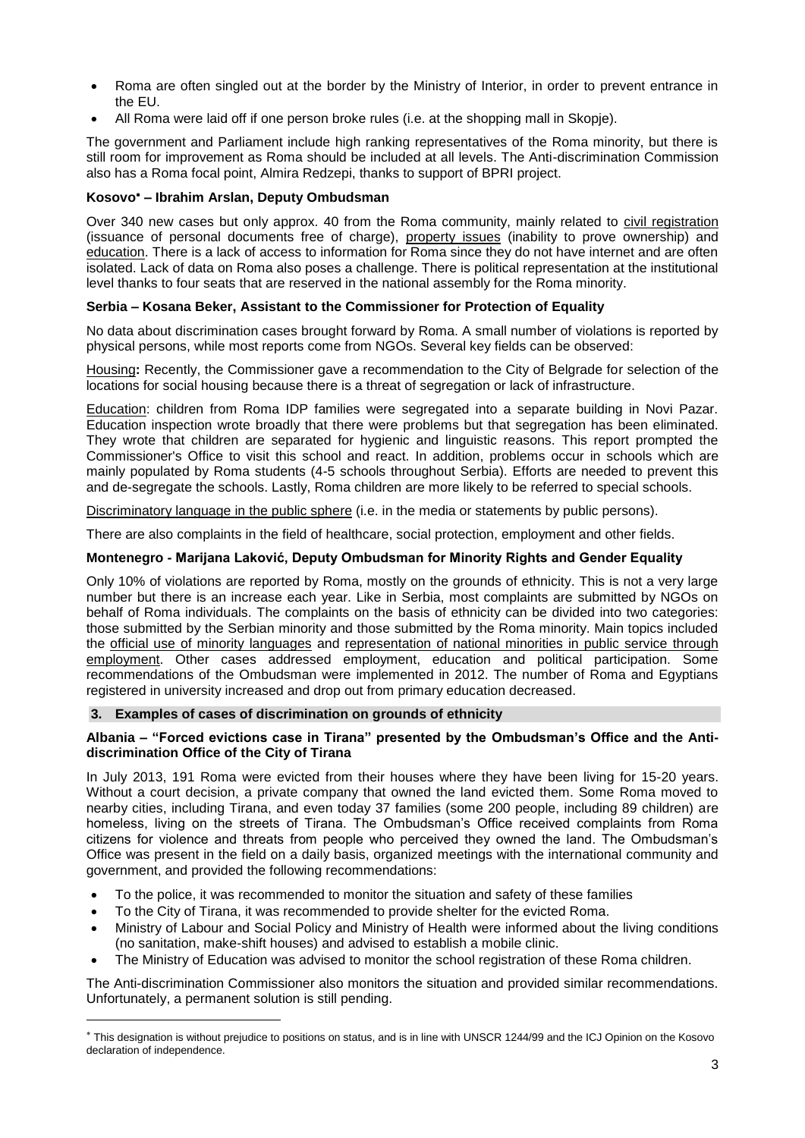- Roma are often singled out at the border by the Ministry of Interior, in order to prevent entrance in the EU.
- All Roma were laid off if one person broke rules (i.e. at the shopping mall in Skopje).

The government and Parliament include high ranking representatives of the Roma minority, but there is still room for improvement as Roma should be included at all levels. The Anti-discrimination Commission also has a Roma focal point, Almira Redzepi, thanks to support of BPRI project.

## **Kosovo – Ibrahim Arslan, Deputy Ombudsman**

Over 340 new cases but only approx. 40 from the Roma community, mainly related to civil registration (issuance of personal documents free of charge), property issues (inability to prove ownership) and education. There is a lack of access to information for Roma since they do not have internet and are often isolated. Lack of data on Roma also poses a challenge. There is political representation at the institutional level thanks to four seats that are reserved in the national assembly for the Roma minority.

## **Serbia – Kosana Beker, Assistant to the Commissioner for Protection of Equality**

No data about discrimination cases brought forward by Roma. A small number of violations is reported by physical persons, while most reports come from NGOs. Several key fields can be observed:

Housing**:** Recently, the Commissioner gave a recommendation to the City of Belgrade for selection of the locations for social housing because there is a threat of segregation or lack of infrastructure.

Education: children from Roma IDP families were segregated into a separate building in Novi Pazar. Education inspection wrote broadly that there were problems but that segregation has been eliminated. They wrote that children are separated for hygienic and linguistic reasons. This report prompted the Commissioner's Office to visit this school and react. In addition, problems occur in schools which are mainly populated by Roma students (4-5 schools throughout Serbia). Efforts are needed to prevent this and de-segregate the schools. Lastly, Roma children are more likely to be referred to special schools.

Discriminatory language in the public sphere (i.e. in the media or statements by public persons).

There are also complaints in the field of healthcare, social protection, employment and other fields.

## **Montenegro - Marijana Laković, Deputy Ombudsman for Minority Rights and Gender Equality**

Only 10% of violations are reported by Roma, mostly on the grounds of ethnicity. This is not a very large number but there is an increase each year. Like in Serbia, most complaints are submitted by NGOs on behalf of Roma individuals. The complaints on the basis of ethnicity can be divided into two categories: those submitted by the Serbian minority and those submitted by the Roma minority. Main topics included the official use of minority languages and representation of national minorities in public service through employment. Other cases addressed employment, education and political participation. Some recommendations of the Ombudsman were implemented in 2012. The number of Roma and Egyptians registered in university increased and drop out from primary education decreased.

#### **3. Examples of cases of discrimination on grounds of ethnicity**

 $\overline{\phantom{a}}$ 

#### **Albania – "Forced evictions case in Tirana" presented by the Ombudsman's Office and the Antidiscrimination Office of the City of Tirana**

In July 2013, 191 Roma were evicted from their houses where they have been living for 15-20 years. Without a court decision, a private company that owned the land evicted them. Some Roma moved to nearby cities, including Tirana, and even today 37 families (some 200 people, including 89 children) are homeless, living on the streets of Tirana. The Ombudsman's Office received complaints from Roma citizens for violence and threats from people who perceived they owned the land. The Ombudsman's Office was present in the field on a daily basis, organized meetings with the international community and government, and provided the following recommendations:

- To the police, it was recommended to monitor the situation and safety of these families
- To the City of Tirana, it was recommended to provide shelter for the evicted Roma.
- Ministry of Labour and Social Policy and Ministry of Health were informed about the living conditions (no sanitation, make-shift houses) and advised to establish a mobile clinic.
- The Ministry of Education was advised to monitor the school registration of these Roma children.

The Anti-discrimination Commissioner also monitors the situation and provided similar recommendations. Unfortunately, a permanent solution is still pending.

This designation is without prejudice to positions on status, and is in line with UNSCR 1244/99 and the ICJ Opinion on the Kosovo declaration of independence.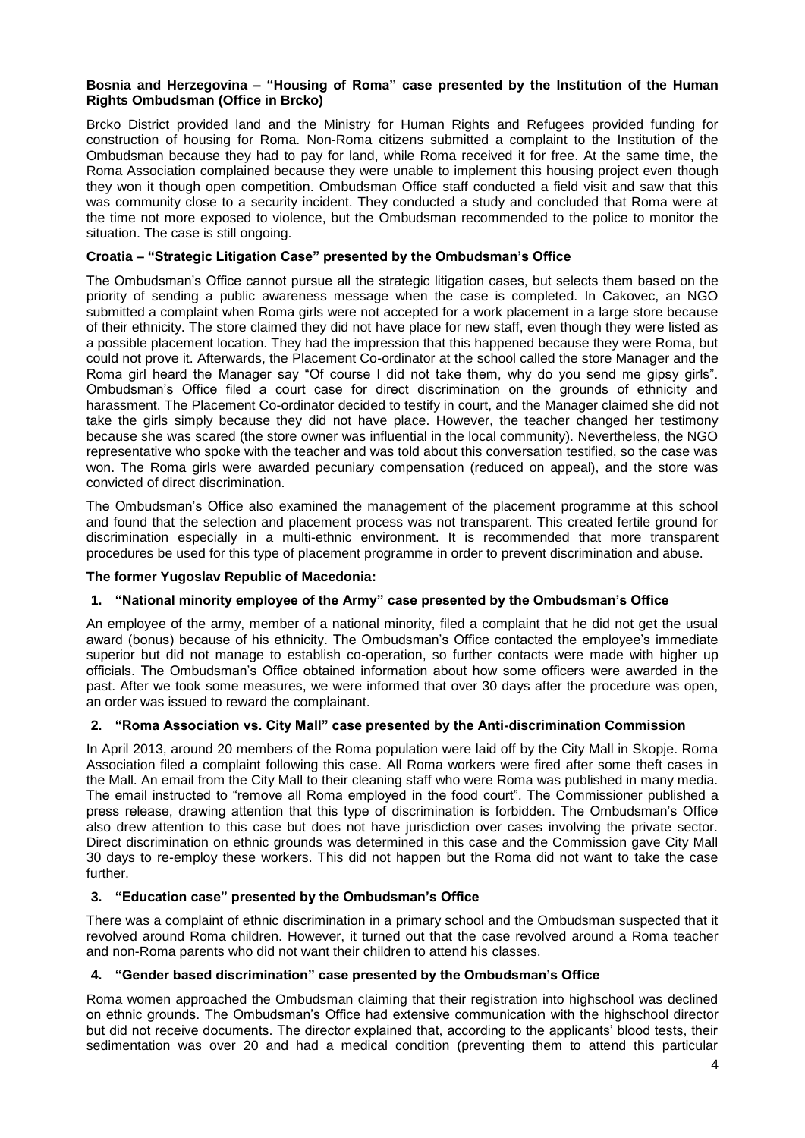## **Bosnia and Herzegovina – "Housing of Roma" case presented by the Institution of the Human Rights Ombudsman (Office in Brcko)**

Brcko District provided land and the Ministry for Human Rights and Refugees provided funding for construction of housing for Roma. Non-Roma citizens submitted a complaint to the Institution of the Ombudsman because they had to pay for land, while Roma received it for free. At the same time, the Roma Association complained because they were unable to implement this housing project even though they won it though open competition. Ombudsman Office staff conducted a field visit and saw that this was community close to a security incident. They conducted a study and concluded that Roma were at the time not more exposed to violence, but the Ombudsman recommended to the police to monitor the situation. The case is still ongoing.

# **Croatia – "Strategic Litigation Case" presented by the Ombudsman's Office**

The Ombudsman's Office cannot pursue all the strategic litigation cases, but selects them based on the priority of sending a public awareness message when the case is completed. In Cakovec, an NGO submitted a complaint when Roma girls were not accepted for a work placement in a large store because of their ethnicity. The store claimed they did not have place for new staff, even though they were listed as a possible placement location. They had the impression that this happened because they were Roma, but could not prove it. Afterwards, the Placement Co-ordinator at the school called the store Manager and the Roma girl heard the Manager say "Of course I did not take them, why do you send me gipsy girls". Ombudsman's Office filed a court case for direct discrimination on the grounds of ethnicity and harassment. The Placement Co-ordinator decided to testify in court, and the Manager claimed she did not take the girls simply because they did not have place. However, the teacher changed her testimony because she was scared (the store owner was influential in the local community). Nevertheless, the NGO representative who spoke with the teacher and was told about this conversation testified, so the case was won. The Roma girls were awarded pecuniary compensation (reduced on appeal), and the store was convicted of direct discrimination.

The Ombudsman's Office also examined the management of the placement programme at this school and found that the selection and placement process was not transparent. This created fertile ground for discrimination especially in a multi-ethnic environment. It is recommended that more transparent procedures be used for this type of placement programme in order to prevent discrimination and abuse.

### **The former Yugoslav Republic of Macedonia:**

# **1. "National minority employee of the Army" case presented by the Ombudsman's Office**

An employee of the army, member of a national minority, filed a complaint that he did not get the usual award (bonus) because of his ethnicity. The Ombudsman's Office contacted the employee's immediate superior but did not manage to establish co-operation, so further contacts were made with higher up officials. The Ombudsman's Office obtained information about how some officers were awarded in the past. After we took some measures, we were informed that over 30 days after the procedure was open, an order was issued to reward the complainant.

#### **2. "Roma Association vs. City Mall" case presented by the Anti-discrimination Commission**

In April 2013, around 20 members of the Roma population were laid off by the City Mall in Skopje. Roma Association filed a complaint following this case. All Roma workers were fired after some theft cases in the Mall. An email from the City Mall to their cleaning staff who were Roma was published in many media. The email instructed to "remove all Roma employed in the food court". The Commissioner published a press release, drawing attention that this type of discrimination is forbidden. The Ombudsman's Office also drew attention to this case but does not have jurisdiction over cases involving the private sector. Direct discrimination on ethnic grounds was determined in this case and the Commission gave City Mall 30 days to re-employ these workers. This did not happen but the Roma did not want to take the case further.

# **3. "Education case" presented by the Ombudsman's Office**

There was a complaint of ethnic discrimination in a primary school and the Ombudsman suspected that it revolved around Roma children. However, it turned out that the case revolved around a Roma teacher and non-Roma parents who did not want their children to attend his classes.

# **4. "Gender based discrimination" case presented by the Ombudsman's Office**

Roma women approached the Ombudsman claiming that their registration into highschool was declined on ethnic grounds. The Ombudsman's Office had extensive communication with the highschool director but did not receive documents. The director explained that, according to the applicants' blood tests, their sedimentation was over 20 and had a medical condition (preventing them to attend this particular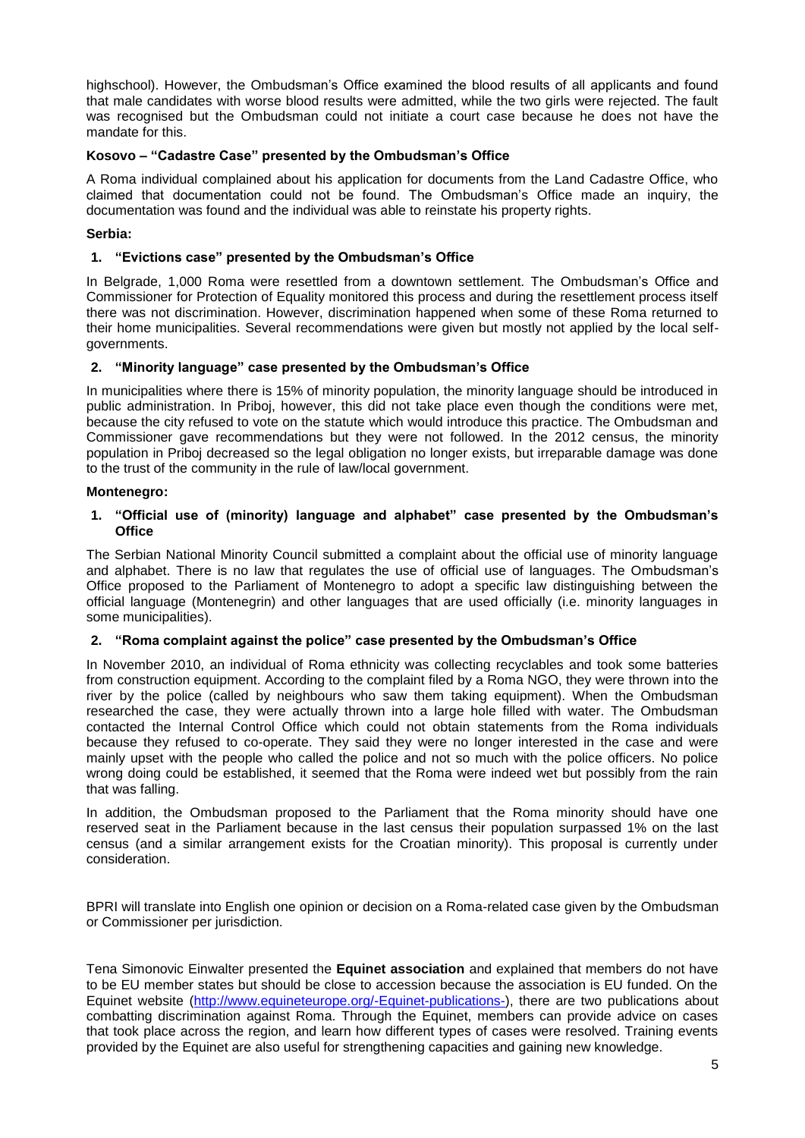highschool). However, the Ombudsman's Office examined the blood results of all applicants and found that male candidates with worse blood results were admitted, while the two girls were rejected. The fault was recognised but the Ombudsman could not initiate a court case because he does not have the mandate for this.

# **Kosovo – "Cadastre Case" presented by the Ombudsman's Office**

A Roma individual complained about his application for documents from the Land Cadastre Office, who claimed that documentation could not be found. The Ombudsman's Office made an inquiry, the documentation was found and the individual was able to reinstate his property rights.

# **Serbia:**

## **1. "Evictions case" presented by the Ombudsman's Office**

In Belgrade, 1,000 Roma were resettled from a downtown settlement. The Ombudsman's Office and Commissioner for Protection of Equality monitored this process and during the resettlement process itself there was not discrimination. However, discrimination happened when some of these Roma returned to their home municipalities. Several recommendations were given but mostly not applied by the local selfgovernments.

## **2. "Minority language" case presented by the Ombudsman's Office**

In municipalities where there is 15% of minority population, the minority language should be introduced in public administration. In Priboj, however, this did not take place even though the conditions were met, because the city refused to vote on the statute which would introduce this practice. The Ombudsman and Commissioner gave recommendations but they were not followed. In the 2012 census, the minority population in Priboj decreased so the legal obligation no longer exists, but irreparable damage was done to the trust of the community in the rule of law/local government.

## **Montenegro:**

## **1. "Official use of (minority) language and alphabet" case presented by the Ombudsman's Office**

The Serbian National Minority Council submitted a complaint about the official use of minority language and alphabet. There is no law that regulates the use of official use of languages. The Ombudsman's Office proposed to the Parliament of Montenegro to adopt a specific law distinguishing between the official language (Montenegrin) and other languages that are used officially (i.e. minority languages in some municipalities).

#### **2. "Roma complaint against the police" case presented by the Ombudsman's Office**

In November 2010, an individual of Roma ethnicity was collecting recyclables and took some batteries from construction equipment. According to the complaint filed by a Roma NGO, they were thrown into the river by the police (called by neighbours who saw them taking equipment). When the Ombudsman researched the case, they were actually thrown into a large hole filled with water. The Ombudsman contacted the Internal Control Office which could not obtain statements from the Roma individuals because they refused to co-operate. They said they were no longer interested in the case and were mainly upset with the people who called the police and not so much with the police officers. No police wrong doing could be established, it seemed that the Roma were indeed wet but possibly from the rain that was falling.

In addition, the Ombudsman proposed to the Parliament that the Roma minority should have one reserved seat in the Parliament because in the last census their population surpassed 1% on the last census (and a similar arrangement exists for the Croatian minority). This proposal is currently under consideration.

BPRI will translate into English one opinion or decision on a Roma-related case given by the Ombudsman or Commissioner per jurisdiction.

Tena Simonovic Einwalter presented the **Equinet association** and explained that members do not have to be EU member states but should be close to accession because the association is EU funded. On the Equinet website [\(http://www.equineteurope.org/-Equinet-publications-\)](http://www.equineteurope.org/-Equinet-publications-), there are two publications about combatting discrimination against Roma. Through the Equinet, members can provide advice on cases that took place across the region, and learn how different types of cases were resolved. Training events provided by the Equinet are also useful for strengthening capacities and gaining new knowledge.